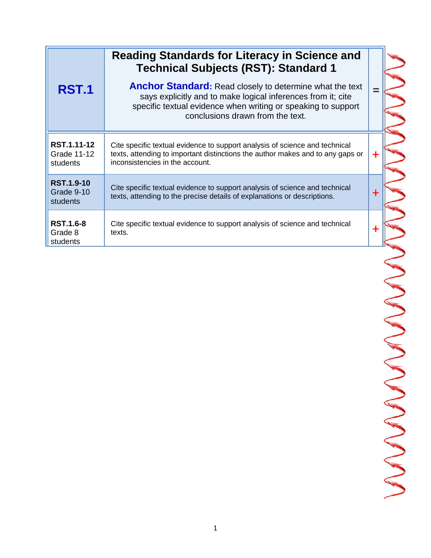|                                               | <b>Reading Standards for Literacy in Science and</b><br><b>Technical Subjects (RST): Standard 1</b>                                                                                                                                  |             |
|-----------------------------------------------|--------------------------------------------------------------------------------------------------------------------------------------------------------------------------------------------------------------------------------------|-------------|
| <b>RST.1</b>                                  | <b>Anchor Standard:</b> Read closely to determine what the text<br>says explicitly and to make logical inferences from it; cite<br>specific textual evidence when writing or speaking to support<br>conclusions drawn from the text. |             |
| RST.1.11-12<br><b>Grade 11-12</b><br>students | Cite specific textual evidence to support analysis of science and technical<br>texts, attending to important distinctions the author makes and to any gaps or<br>inconsistencies in the account.                                     | $\ddot{}$   |
| <b>RST.1.9-10</b><br>Grade 9-10<br>students   | Cite specific textual evidence to support analysis of science and technical<br>texts, attending to the precise details of explanations or descriptions.                                                                              | $\mathbf +$ |
| <b>RST.1.6-8</b><br>Grade 8<br>students       | Cite specific textual evidence to support analysis of science and technical<br>texts.                                                                                                                                                | ┿           |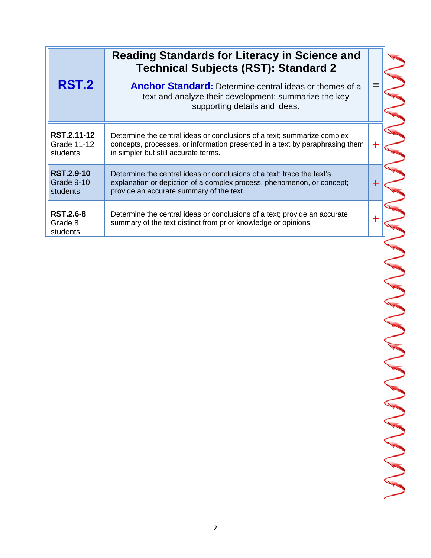|                                               | Reading Standards for Literacy in Science and<br><b>Technical Subjects (RST): Standard 2</b>                                                                                                    |   |
|-----------------------------------------------|-------------------------------------------------------------------------------------------------------------------------------------------------------------------------------------------------|---|
| <b>RST.2</b>                                  | <b>Anchor Standard:</b> Determine central ideas or themes of a<br>text and analyze their development; summarize the key<br>supporting details and ideas.                                        |   |
| RST.2.11-12<br><b>Grade 11-12</b><br>students | Determine the central ideas or conclusions of a text; summarize complex<br>concepts, processes, or information presented in a text by paraphrasing them<br>in simpler but still accurate terms. |   |
| <b>RST.2.9-10</b><br>Grade 9-10<br>students   | Determine the central ideas or conclusions of a text; trace the text's<br>explanation or depiction of a complex process, phenomenon, or concept;<br>provide an accurate summary of the text.    | ÷ |
| <b>RST.2.6-8</b><br>Grade 8<br>students       | Determine the central ideas or conclusions of a text; provide an accurate<br>summary of the text distinct from prior knowledge or opinions.                                                     |   |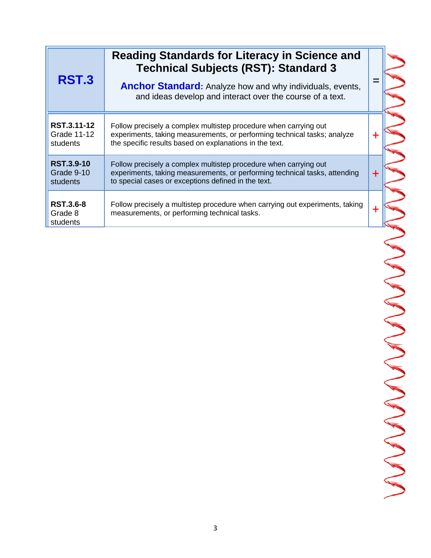| <b>RST.3</b>                                | <b>Reading Standards for Literacy in Science and</b><br><b>Technical Subjects (RST): Standard 3</b><br><b>Anchor Standard:</b> Analyze how and why individuals, events,<br>and ideas develop and interact over the course of a text. |   |
|---------------------------------------------|--------------------------------------------------------------------------------------------------------------------------------------------------------------------------------------------------------------------------------------|---|
| RST.3.11-12<br>Grade 11-12<br>students      | Follow precisely a complex multistep procedure when carrying out<br>experiments, taking measurements, or performing technical tasks; analyze<br>the specific results based on explanations in the text.                              | ╉ |
| <b>RST.3.9-10</b><br>Grade 9-10<br>students | Follow precisely a complex multistep procedure when carrying out<br>experiments, taking measurements, or performing technical tasks, attending<br>to special cases or exceptions defined in the text.                                | ╅ |
| <b>RST.3.6-8</b><br>Grade 8<br>students     | Follow precisely a multistep procedure when carrying out experiments, taking<br>measurements, or performing technical tasks.                                                                                                         | ۰ |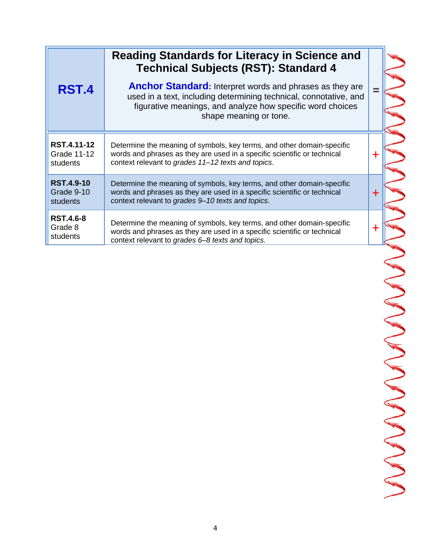|                                                    | <b>Reading Standards for Literacy in Science and</b><br><b>Technical Subjects (RST): Standard 4</b>                                                                                                                          |             |
|----------------------------------------------------|------------------------------------------------------------------------------------------------------------------------------------------------------------------------------------------------------------------------------|-------------|
| RST.4                                              | <b>Anchor Standard:</b> Interpret words and phrases as they are<br>used in a text, including determining technical, connotative, and<br>figurative meanings, and analyze how specific word choices<br>shape meaning or tone. | $=$         |
| RST.4.11-12<br><b>Grade 11-12</b><br>students      | Determine the meaning of symbols, key terms, and other domain-specific<br>words and phrases as they are used in a specific scientific or technical<br>context relevant to grades 11-12 texts and topics.                     | ╉           |
| <b>RST.4.9-10</b><br>Grade 9-10<br><b>students</b> | Determine the meaning of symbols, key terms, and other domain-specific<br>words and phrases as they are used in a specific scientific or technical<br>context relevant to grades 9-10 texts and topics.                      | $\mathbf +$ |
| <b>RST.4.6-8</b><br>Grade 8<br>students            | Determine the meaning of symbols, key terms, and other domain-specific<br>words and phrases as they are used in a specific scientific or technical<br>context relevant to grades 6-8 texts and topics.                       | ╈           |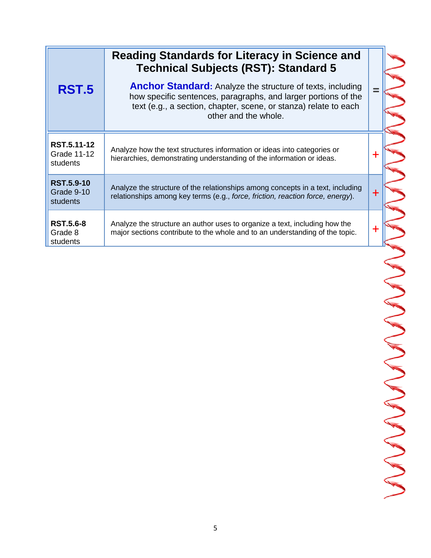|                                                    | <b>Reading Standards for Literacy in Science and</b><br><b>Technical Subjects (RST): Standard 5</b>                                                                                                                             |     |
|----------------------------------------------------|---------------------------------------------------------------------------------------------------------------------------------------------------------------------------------------------------------------------------------|-----|
| <b>RST.5</b>                                       | <b>Anchor Standard:</b> Analyze the structure of texts, including<br>how specific sentences, paragraphs, and larger portions of the<br>text (e.g., a section, chapter, scene, or stanza) relate to each<br>other and the whole. | $=$ |
| RST.5.11-12<br><b>Grade 11-12</b><br>students      | Analyze how the text structures information or ideas into categories or<br>hierarchies, demonstrating understanding of the information or ideas.                                                                                | ╉   |
| <b>RST.5.9-10</b><br>Grade 9-10<br><b>students</b> | Analyze the structure of the relationships among concepts in a text, including<br>relationships among key terms (e.g., force, friction, reaction force, energy).                                                                | ╋   |
| <b>RST.5.6-8</b><br>Grade 8<br>students            | Analyze the structure an author uses to organize a text, including how the<br>major sections contribute to the whole and to an understanding of the topic.                                                                      | ╋   |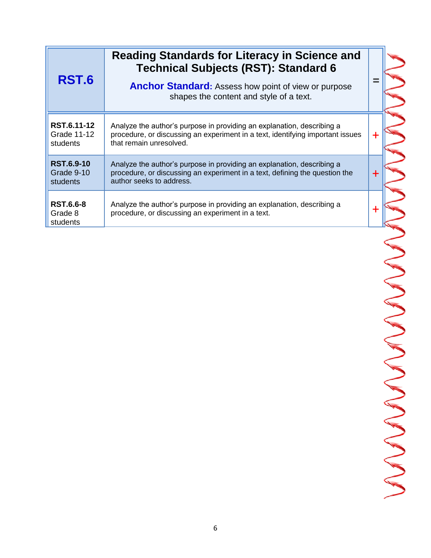| <b>RST.6</b>                                | <b>Reading Standards for Literacy in Science and</b><br><b>Technical Subjects (RST): Standard 6</b><br><b>Anchor Standard:</b> Assess how point of view or purpose<br>shapes the content and style of a text. |   |
|---------------------------------------------|---------------------------------------------------------------------------------------------------------------------------------------------------------------------------------------------------------------|---|
| RST.6.11-12<br>Grade 11-12<br>students      | Analyze the author's purpose in providing an explanation, describing a<br>procedure, or discussing an experiment in a text, identifying important issues<br>that remain unresolved.                           |   |
| <b>RST.6.9-10</b><br>Grade 9-10<br>students | Analyze the author's purpose in providing an explanation, describing a<br>procedure, or discussing an experiment in a text, defining the question the<br>author seeks to address.                             | + |
| <b>RST.6.6-8</b><br>Grade 8<br>students     | Analyze the author's purpose in providing an explanation, describing a<br>procedure, or discussing an experiment in a text.                                                                                   |   |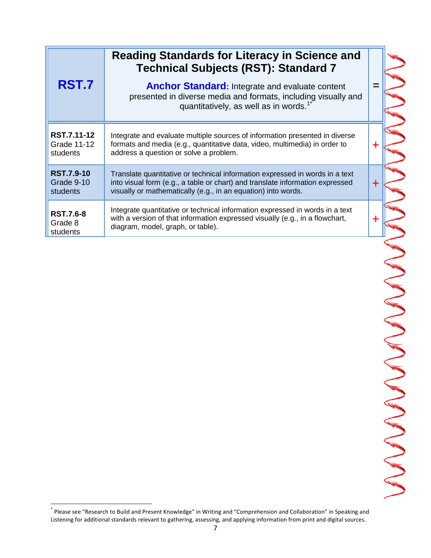|                                               | <b>Reading Standards for Literacy in Science and</b><br><b>Technical Subjects (RST): Standard 7</b>                                                                                                                            |       |
|-----------------------------------------------|--------------------------------------------------------------------------------------------------------------------------------------------------------------------------------------------------------------------------------|-------|
| RST.7                                         | <b>Anchor Standard:</b> Integrate and evaluate content<br>presented in diverse media and formats, including visually and<br>quantitatively, as well as in words. <sup>1</sup>                                                  |       |
| RST.7.11-12<br><b>Grade 11-12</b><br>students | Integrate and evaluate multiple sources of information presented in diverse<br>formats and media (e.g., quantitative data, video, multimedia) in order to<br>address a question or solve a problem.                            | $\pm$ |
| <b>RST.7.9-10</b><br>Grade 9-10<br>students   | Translate quantitative or technical information expressed in words in a text<br>into visual form (e.g., a table or chart) and translate information expressed<br>visually or mathematically (e.g., in an equation) into words. | $\pm$ |
| <b>RST.7.6-8</b><br>Grade 8<br>students       | Integrate quantitative or technical information expressed in words in a text<br>with a version of that information expressed visually (e.g., in a flowchart,<br>diagram, model, graph, or table).                              |       |

 \* Please see "Research to Build and Present Knowledge" in Writing and "Comprehension and Collaboration" in Speaking and Listening for additional standards relevant to gathering, assessing, and applying information from print and digital sources.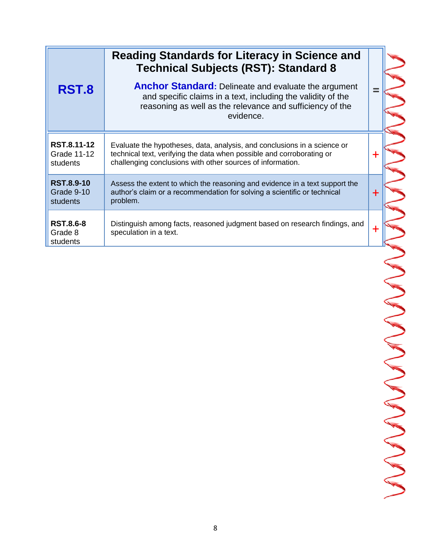|                                                    | <b>Reading Standards for Literacy in Science and</b><br><b>Technical Subjects (RST): Standard 8</b>                                                                                                             |             |
|----------------------------------------------------|-----------------------------------------------------------------------------------------------------------------------------------------------------------------------------------------------------------------|-------------|
| RST.8                                              | <b>Anchor Standard:</b> Delineate and evaluate the argument<br>and specific claims in a text, including the validity of the<br>reasoning as well as the relevance and sufficiency of the<br>evidence.           |             |
| RST.8.11-12<br><b>Grade 11-12</b><br>students      | Evaluate the hypotheses, data, analysis, and conclusions in a science or<br>technical text, verifying the data when possible and corroborating or<br>challenging conclusions with other sources of information. | $\mathbf +$ |
| <b>RST.8.9-10</b><br>Grade 9-10<br><b>students</b> | Assess the extent to which the reasoning and evidence in a text support the<br>author's claim or a recommendation for solving a scientific or technical<br>problem.                                             | $\mathbf +$ |
| <b>RST.8.6-8</b><br>Grade 8<br>students            | Distinguish among facts, reasoned judgment based on research findings, and<br>speculation in a text.                                                                                                            | ╋           |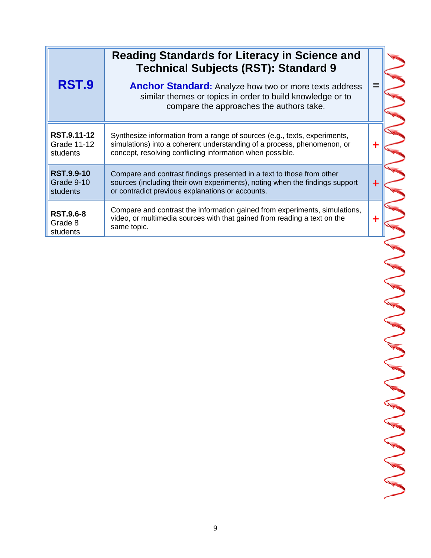| RST.9                                              | <b>Reading Standards for Literacy in Science and</b><br><b>Technical Subjects (RST): Standard 9</b><br><b>Anchor Standard:</b> Analyze how two or more texts address<br>similar themes or topics in order to build knowledge or to<br>compare the approaches the authors take. |             |
|----------------------------------------------------|--------------------------------------------------------------------------------------------------------------------------------------------------------------------------------------------------------------------------------------------------------------------------------|-------------|
| RST.9.11-12<br><b>Grade 11-12</b><br>students      | Synthesize information from a range of sources (e.g., texts, experiments,<br>simulations) into a coherent understanding of a process, phenomenon, or<br>concept, resolving conflicting information when possible.                                                              | $\div$      |
| <b>RST.9.9-10</b><br>Grade 9-10<br><b>students</b> | Compare and contrast findings presented in a text to those from other<br>sources (including their own experiments), noting when the findings support<br>or contradict previous explanations or accounts.                                                                       | $\mathbf +$ |
| <b>RST.9.6-8</b><br>Grade 8<br>students            | Compare and contrast the information gained from experiments, simulations,<br>video, or multimedia sources with that gained from reading a text on the<br>same topic.                                                                                                          | $\ddot{}$   |